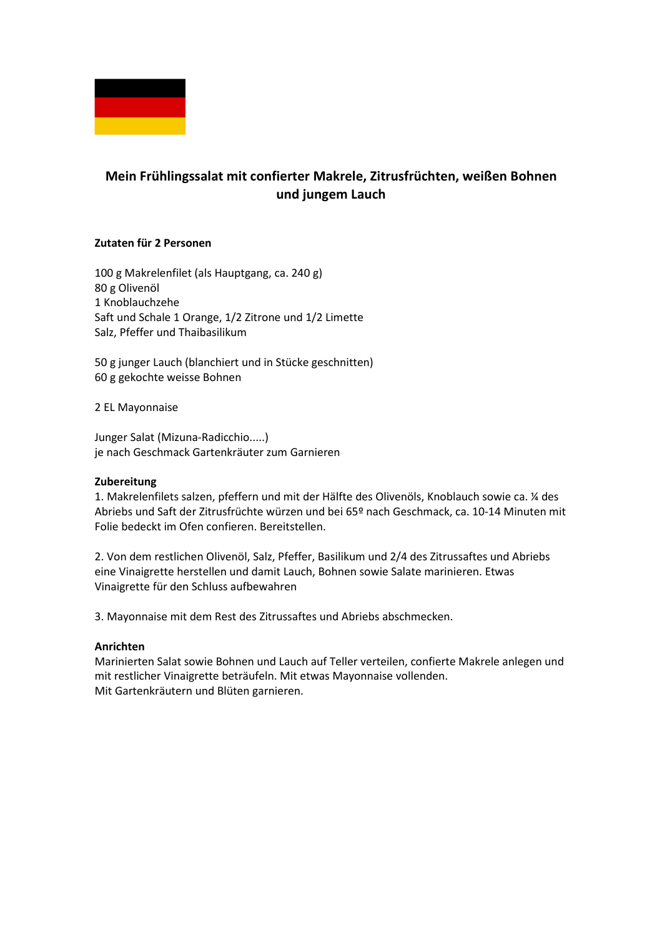

# **Mein Frühlingssalat mit confierter Makrele, Zitrusfrüchten, weißen Bohnen und jungem Lauch**

### **Zutaten für 2 Personen**

100 g Makrelenfilet (als Hauptgang, ca. 240 g) 80 g Olivenöl 1 Knoblauchzehe Saft und Schale 1 Orange, 1/2 Zitrone und 1/2 Limette Salz, Pfeffer und Thaibasilikum

50 g junger Lauch (blanchiert und in Stücke geschnitten) 60 g gekochte weisse Bohnen

2 EL Mayonnaise

Junger Salat (Mizuna-Radicchio.....) je nach Geschmack Gartenkräuter zum Garnieren

### **Zubereitung**

1. Makrelenfilets salzen, pfeffern und mit der Hälfte des Olivenöls, Knoblauch sowie ca. ¼ des Abriebs und Saft der Zitrusfrüchte würzen und bei 65º nach Geschmack, ca. 10-14 Minuten mit Folie bedeckt im Ofen confieren. Bereitstellen.

2. Von dem restlichen Olivenöl, Salz, Pfeffer, Basilikum und 2/4 des Zitrussaftes und Abriebs eine Vinaigrette herstellen und damit Lauch, Bohnen sowie Salate marinieren. Etwas Vinaigrette für den Schluss aufbewahren

3. Mayonnaise mit dem Rest des Zitrussaftes und Abriebs abschmecken.

### **Anrichten**

Marinierten Salat sowie Bohnen und Lauch auf Teller verteilen, confierte Makrele anlegen und mit restlicher Vinaigrette beträufeln. Mit etwas Mayonnaise vollenden. Mit Gartenkräutern und Blüten garnieren.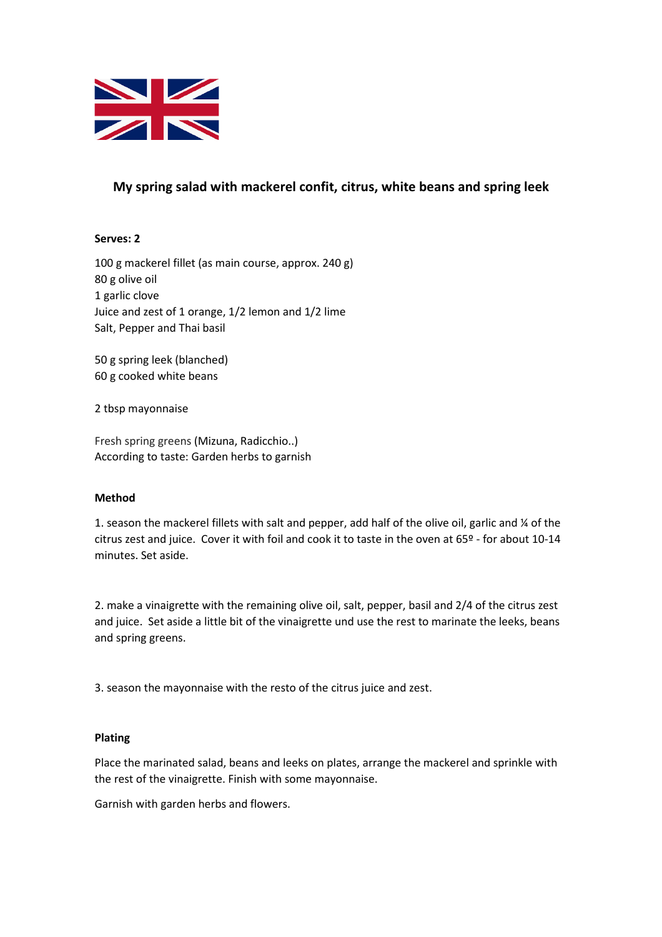

# **My spring salad with mackerel confit, citrus, white beans and spring leek**

### **Serves: 2**

100 g mackerel fillet (as main course, approx. 240 g) 80 g olive oil 1 garlic clove Juice and zest of 1 orange, 1/2 lemon and 1/2 lime Salt, Pepper and Thai basil

50 g spring leek (blanched) 60 g cooked white beans

2 tbsp mayonnaise

Fresh spring greens (Mizuna, Radicchio..) According to taste: Garden herbs to garnish

### **Method**

1. season the mackerel fillets with salt and pepper, add half of the olive oil, garlic and ¼ of the citrus zest and juice. Cover it with foil and cook it to taste in the oven at 65º - for about 10-14 minutes. Set aside.

2. make a vinaigrette with the remaining olive oil, salt, pepper, basil and 2/4 of the citrus zest and juice. Set aside a little bit of the vinaigrette und use the rest to marinate the leeks, beans and spring greens.

3. season the mayonnaise with the resto of the citrus juice and zest.

### **Plating**

Place the marinated salad, beans and leeks on plates, arrange the mackerel and sprinkle with the rest of the vinaigrette. Finish with some mayonnaise.

Garnish with garden herbs and flowers.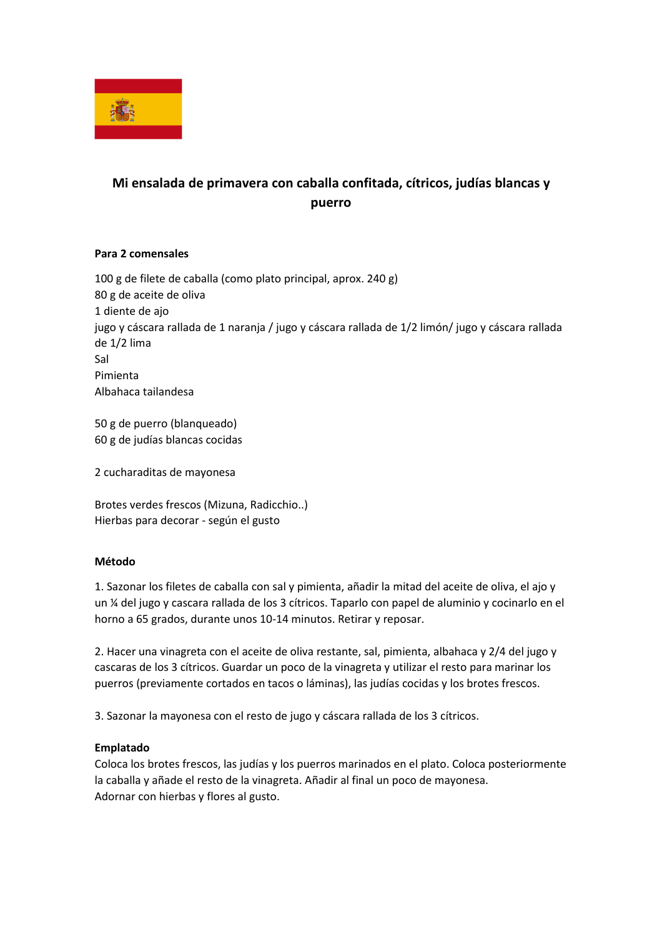

# **Mi ensalada de primavera con caballa confitada, cítricos, judías blancas y puerro**

### **Para 2 comensales**

100 g de filete de caballa (como plato principal, aprox. 240 g) 80 g de aceite de oliva 1 diente de ajo jugo y cáscara rallada de 1 naranja / jugo y cáscara rallada de 1/2 limón/ jugo y cáscara rallada de 1/2 lima Sal Pimienta Albahaca tailandesa

50 g de puerro (blanqueado) 60 g de judías blancas cocidas

2 cucharaditas de mayonesa

Brotes verdes frescos (Mizuna, Radicchio..) Hierbas para decorar - según el gusto

### **Método**

1. Sazonar los filetes de caballa con sal y pimienta, añadir la mitad del aceite de oliva, el ajo y un ¼ del jugo y cascara rallada de los 3 cítricos. Taparlo con papel de aluminio y cocinarlo en el horno a 65 grados, durante unos 10-14 minutos. Retirar y reposar.

2. Hacer una vinagreta con el aceite de oliva restante, sal, pimienta, albahaca y 2/4 del jugo y cascaras de los 3 cítricos. Guardar un poco de la vinagreta y utilizar el resto para marinar los puerros (previamente cortados en tacos o láminas), las judías cocidas y los brotes frescos.

3. Sazonar la mayonesa con el resto de jugo y cáscara rallada de los 3 cítricos.

### **Emplatado**

Coloca los brotes frescos, las judías y los puerros marinados en el plato. Coloca posteriormente la caballa y añade el resto de la vinagreta. Añadir al final un poco de mayonesa. Adornar con hierbas y flores al gusto.